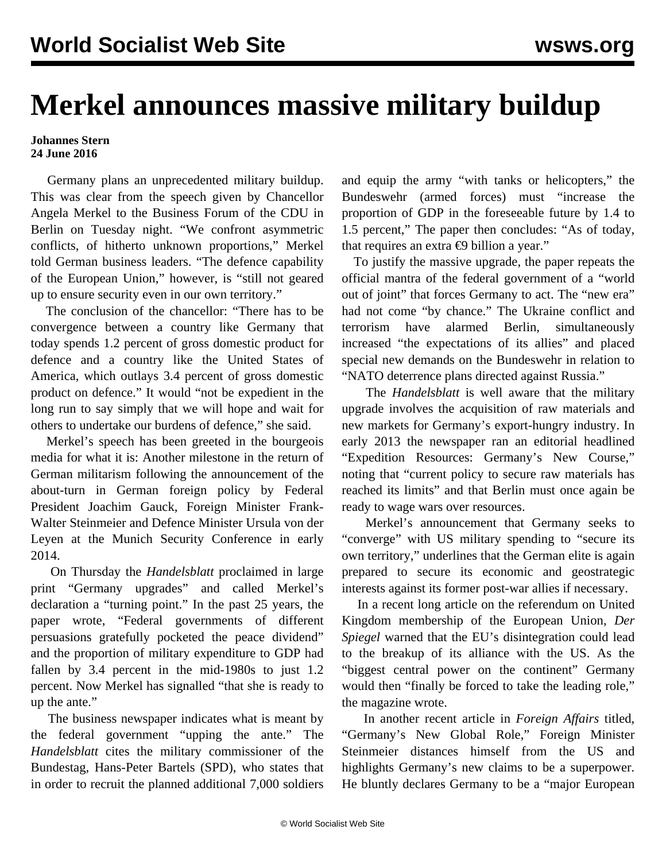## **Merkel announces massive military buildup**

## **Johannes Stern 24 June 2016**

 Germany plans an unprecedented military buildup. This was clear from the speech given by Chancellor Angela Merkel to the Business Forum of the CDU in Berlin on Tuesday night. "We confront asymmetric conflicts, of hitherto unknown proportions," Merkel told German business leaders. "The defence capability of the European Union," however, is "still not geared up to ensure security even in our own territory."

 The conclusion of the chancellor: "There has to be convergence between a country like Germany that today spends 1.2 percent of gross domestic product for defence and a country like the United States of America, which outlays 3.4 percent of gross domestic product on defence." It would "not be expedient in the long run to say simply that we will hope and wait for others to undertake our burdens of defence," she said.

 Merkel's speech has been greeted in the bourgeois media for what it is: Another milestone in the return of German militarism following the announcement of the about-turn in German foreign policy by Federal President Joachim Gauck, Foreign Minister Frank-Walter Steinmeier and Defence Minister Ursula von der Leyen at the Munich Security Conference in early 2014.

 On Thursday the *Handelsblatt* proclaimed in large print "Germany upgrades" and called Merkel's declaration a "turning point." In the past 25 years, the paper wrote, "Federal governments of different persuasions gratefully pocketed the peace dividend" and the proportion of military expenditure to GDP had fallen by 3.4 percent in the mid-1980s to just 1.2 percent. Now Merkel has signalled "that she is ready to up the ante."

 The business newspaper indicates what is meant by the federal government "upping the ante." The *Handelsblatt* cites the military commissioner of the Bundestag, Hans-Peter Bartels (SPD), who states that in order to recruit the planned additional 7,000 soldiers and equip the army "with tanks or helicopters," the Bundeswehr (armed forces) must "increase the proportion of GDP in the foreseeable future by 1.4 to 1.5 percent," The paper then concludes: "As of today, that requires an extra  $\epsilon$ 9 billion a year."

 To justify the massive upgrade, the paper repeats the official mantra of the federal government of a "world out of joint" that forces Germany to act. The "new era" had not come "by chance." The Ukraine conflict and terrorism have alarmed Berlin, simultaneously increased "the expectations of its allies" and placed special new demands on the Bundeswehr in relation to "NATO deterrence plans directed against Russia."

 The *Handelsblatt* is well aware that the military upgrade involves the acquisition of raw materials and new markets for Germany's export-hungry industry. In early 2013 the newspaper ran an editorial headlined "Expedition Resources: Germany's New Course," noting that "current policy to secure raw materials has reached its limits" and that Berlin must once again be ready to wage wars over resources.

 Merkel's announcement that Germany seeks to "converge" with US military spending to "secure its own territory," underlines that the German elite is again prepared to secure its economic and geostrategic interests against its former post-war allies if necessary.

 In a recent long article on the referendum on United Kingdom membership of the European Union, *Der Spiegel* warned that the EU's disintegration could lead to the breakup of its alliance with the US. As the "biggest central power on the continent" Germany would then "finally be forced to take the leading role," the magazine wrote.

 In another recent article in *Foreign Affairs* titled, "Germany's New Global Role," Foreign Minister Steinmeier distances himself from the US and highlights Germany's new claims to be a superpower. He bluntly declares Germany to be a "major European